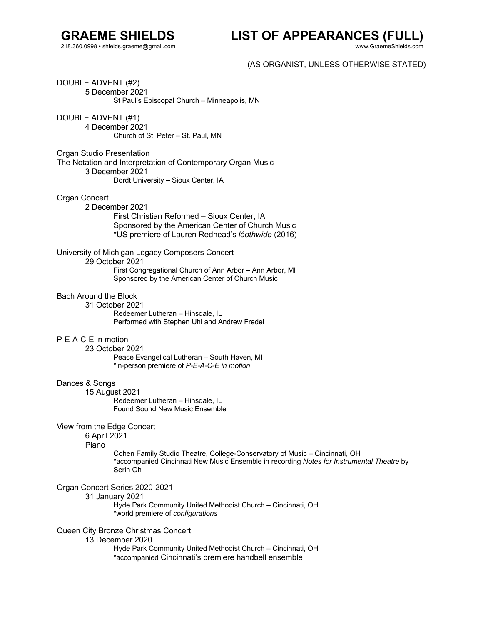## **GRAEME SHIELDS** 218.360.0998 • shields.graeme@gmail.com

**LIST OF APPEARANCES (FULL)**

www.GraemeShields.com

(AS ORGANIST, UNLESS OTHERWISE STATED)

DOUBLE ADVENT (#2) 5 December 2021 St Paul's Episcopal Church – Minneapolis, MN

DOUBLE ADVENT (#1) 4 December 2021 Church of St. Peter – St. Paul, MN

Organ Studio Presentation The Notation and Interpretation of Contemporary Organ Music 3 December 2021 Dordt University – Sioux Center, IA

Organ Concert

2 December 2021 First Christian Reformed – Sioux Center, IA Sponsored by the American Center of Church Music

\*US premiere of Lauren Redhead's *léothwide* (2016)

University of Michigan Legacy Composers Concert 29 October 2021 First Congregational Church of Ann Arbor – Ann Arbor, MI Sponsored by the American Center of Church Music

## Bach Around the Block

31 October 2021 Redeemer Lutheran – Hinsdale, IL Performed with Stephen Uhl and Andrew Fredel

## P-E-A-C-E in motion

23 October 2021 Peace Evangelical Lutheran – South Haven, MI \*in-person premiere of *P-E-A-C-E in motion*

### Dances & Songs

15 August 2021 Redeemer Lutheran – Hinsdale, IL Found Sound New Music Ensemble

## View from the Edge Concert

6 April 2021

Piano

Cohen Family Studio Theatre, College-Conservatory of Music – Cincinnati, OH \*accompanied Cincinnati New Music Ensemble in recording *Notes for Instrumental Theatre* by Serin Oh

## Organ Concert Series 2020-2021

31 January 2021

Hyde Park Community United Methodist Church – Cincinnati, OH \*world premiere of *configurations*

## Queen City Bronze Christmas Concert

## 13 December 2020

Hyde Park Community United Methodist Church – Cincinnati, OH \*accompanied Cincinnati's premiere handbell ensemble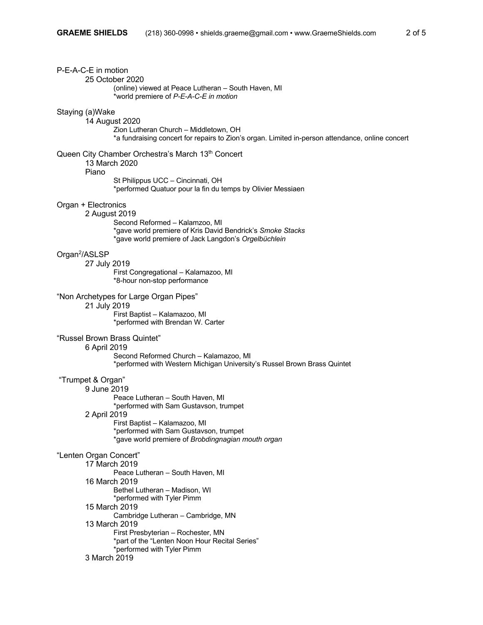| P-E-A-C-E in motion<br>25 October 2020<br>(online) viewed at Peace Lutheran - South Haven, MI<br>*world premiere of P-E-A-C-E in motion                                                                                                                                                                                                                                   |
|---------------------------------------------------------------------------------------------------------------------------------------------------------------------------------------------------------------------------------------------------------------------------------------------------------------------------------------------------------------------------|
| Staying (a)Wake<br>14 August 2020<br>Zion Lutheran Church - Middletown, OH<br>*a fundraising concert for repairs to Zion's organ. Limited in-person attendance, online concert                                                                                                                                                                                            |
| Queen City Chamber Orchestra's March 13th Concert<br>13 March 2020<br>Piano<br>St Philippus UCC - Cincinnati, OH<br>*performed Quatuor pour la fin du temps by Olivier Messiaen                                                                                                                                                                                           |
| Organ + Electronics<br>2 August 2019<br>Second Reformed - Kalamzoo, MI<br>*gave world premiere of Kris David Bendrick's Smoke Stacks<br>*gave world premiere of Jack Langdon's Orgelbüchlein                                                                                                                                                                              |
| Organ <sup>2</sup> /ASLSP<br>27 July 2019<br>First Congregational - Kalamazoo, MI<br>*8-hour non-stop performance                                                                                                                                                                                                                                                         |
| "Non Archetypes for Large Organ Pipes"<br>21 July 2019<br>First Baptist - Kalamazoo, MI<br>*performed with Brendan W. Carter                                                                                                                                                                                                                                              |
| "Russel Brown Brass Quintet"<br>6 April 2019<br>Second Reformed Church - Kalamazoo, MI<br>*performed with Western Michigan University's Russel Brown Brass Quintet                                                                                                                                                                                                        |
| "Trumpet & Organ"<br>9 June 2019<br>Peace Lutheran - South Haven, MI<br>*performed with Sam Gustavson, trumpet<br>2 April 2019<br>First Baptist - Kalamazoo, MI<br>*performed with Sam Gustavson, trumpet<br>*gave world premiere of Brobdingnagian mouth organ                                                                                                           |
| "Lenten Organ Concert"<br>17 March 2019<br>Peace Lutheran - South Haven, MI<br>16 March 2019<br>Bethel Lutheran - Madison, WI<br>*performed with Tyler Pimm<br>15 March 2019<br>Cambridge Lutheran - Cambridge, MN<br>13 March 2019<br>First Presbyterian - Rochester, MN<br>*part of the "Lenten Noon Hour Recital Series"<br>*performed with Tyler Pimm<br>3 March 2019 |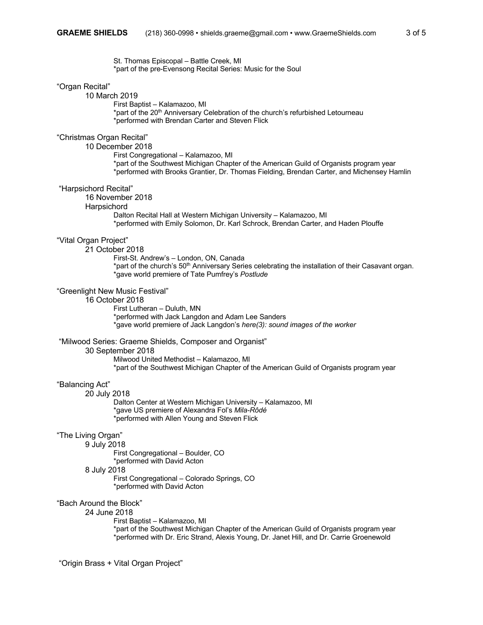St. Thomas Episcopal – Battle Creek, MI \*part of the pre-Evensong Recital Series: Music for the Soul

#### "Organ Recital"

10 March 2019

First Baptist – Kalamazoo, MI \*part of the 20<sup>th</sup> Anniversary Celebration of the church's refurbished Letourneau \*performed with Brendan Carter and Steven Flick

#### "Christmas Organ Recital"

10 December 2018

First Congregational – Kalamazoo, MI \*part of the Southwest Michigan Chapter of the American Guild of Organists program year \*performed with Brooks Grantier, Dr. Thomas Fielding, Brendan Carter, and Michensey Hamlin

#### "Harpsichord Recital"

16 November 2018

#### **Harpsichord**

Dalton Recital Hall at Western Michigan University – Kalamazoo, MI \*performed with Emily Solomon, Dr. Karl Schrock, Brendan Carter, and Haden Plouffe

#### "Vital Organ Project"

21 October 2018

First-St. Andrew's – London, ON, Canada \*part of the church's 50<sup>th</sup> Anniversary Series celebrating the installation of their Casavant organ. \*gave world premiere of Tate Pumfrey's *Postlude*

### "Greenlight New Music Festival"

16 October 2018

First Lutheran – Duluth, MN \*performed with Jack Langdon and Adam Lee Sanders \*gave world premiere of Jack Langdon's *here(3): sound images of the worker*

#### "Milwood Series: Graeme Shields, Composer and Organist"

30 September 2018

Milwood United Methodist – Kalamazoo, MI \*part of the Southwest Michigan Chapter of the American Guild of Organists program year

#### "Balancing Act"

20 July 2018

Dalton Center at Western Michigan University – Kalamazoo, MI \*gave US premiere of Alexandra Fol's *Mila-Rôdé* \*performed with Allen Young and Steven Flick

#### "The Living Organ"

9 July 2018

First Congregational – Boulder, CO \*performed with David Acton

# 8 July 2018

First Congregational – Colorado Springs, CO \*performed with David Acton

## "Bach Around the Block"

#### 24 June 2018

First Baptist – Kalamazoo, MI \*part of the Southwest Michigan Chapter of the American Guild of Organists program year \*performed with Dr. Eric Strand, Alexis Young, Dr. Janet Hill, and Dr. Carrie Groenewold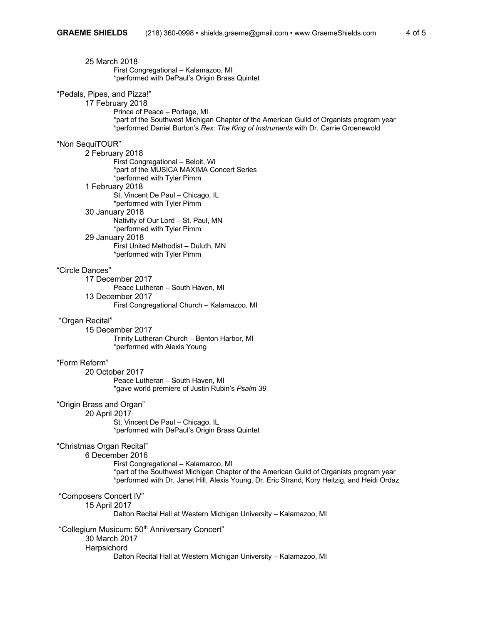| 25 March 2018<br>First Congregational - Kalamazoo, MI<br>*performed with DePaul's Origin Brass Quintet                                                                                                                                                            |
|-------------------------------------------------------------------------------------------------------------------------------------------------------------------------------------------------------------------------------------------------------------------|
| "Pedals, Pipes, and Pizza!"<br>17 February 2018<br>Prince of Peace - Portage, MI<br>*part of the Southwest Michigan Chapter of the American Guild of Organists program year<br>*performed Daniel Burton's Rex: The King of Instruments with Dr. Carrie Groenewold |
| "Non SequiTOUR"                                                                                                                                                                                                                                                   |
| 2 February 2018<br>First Congregational - Beloit, WI<br>*part of the MUSICA MAXIMA Concert Series<br>*performed with Tyler Pimm                                                                                                                                   |
| 1 February 2018<br>St. Vincent De Paul - Chicago, IL<br>*performed with Tyler Pimm                                                                                                                                                                                |
| 30 January 2018<br>Nativity of Our Lord - St. Paul, MN<br>*performed with Tyler Pimm                                                                                                                                                                              |
| 29 January 2018<br>First United Methodist - Duluth, MN<br>*performed with Tyler Pimm                                                                                                                                                                              |
| "Circle Dances"                                                                                                                                                                                                                                                   |
| 17 December 2017<br>Peace Lutheran - South Haven, MI                                                                                                                                                                                                              |
| 13 December 2017<br>First Congregational Church - Kalamazoo, MI                                                                                                                                                                                                   |
| "Organ Recital"<br>15 December 2017                                                                                                                                                                                                                               |
| Trinity Lutheran Church - Benton Harbor, MI<br>*performed with Alexis Young                                                                                                                                                                                       |
| "Form Reform"                                                                                                                                                                                                                                                     |
| 20 October 2017                                                                                                                                                                                                                                                   |
| Peace Lutheran - South Haven, MI<br>*gave world premiere of Justin Rubin's Psalm 39                                                                                                                                                                               |
| "Origin Brass and Organ"<br>20 April 2017                                                                                                                                                                                                                         |
| St. Vincent De Paul - Chicago, IL<br>*performed with DePaul's Origin Brass Quintet                                                                                                                                                                                |
| "Christmas Organ Recital"<br>6 December 2016                                                                                                                                                                                                                      |
| First Congregational - Kalamazoo, MI<br>*part of the Southwest Michigan Chapter of the American Guild of Organists program year<br>*performed with Dr. Janet Hill, Alexis Young, Dr. Eric Strand, Kory Heitzig, and Heidi Ordaz                                   |
| "Composers Concert IV"<br>15 April 2017<br>Dalton Recital Hall at Western Michigan University - Kalamazoo, MI                                                                                                                                                     |
| "Collegium Musicum: 50 <sup>th</sup> Anniversary Concert"<br>30 March 2017                                                                                                                                                                                        |
| Harpsichord<br>Dalton Recital Hall at Western Michigan University - Kalamazoo, MI                                                                                                                                                                                 |
|                                                                                                                                                                                                                                                                   |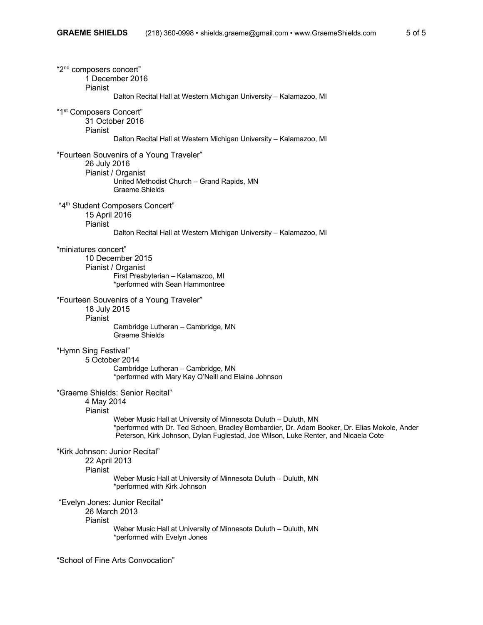| "2 <sup>nd</sup> composers concert"<br>1 December 2016<br>Pianist                                                                                                                                                                                                                                                  |
|--------------------------------------------------------------------------------------------------------------------------------------------------------------------------------------------------------------------------------------------------------------------------------------------------------------------|
| Dalton Recital Hall at Western Michigan University - Kalamazoo, MI                                                                                                                                                                                                                                                 |
| "1st Composers Concert"<br>31 October 2016<br>Pianist                                                                                                                                                                                                                                                              |
| Dalton Recital Hall at Western Michigan University - Kalamazoo, MI                                                                                                                                                                                                                                                 |
| "Fourteen Souvenirs of a Young Traveler"<br>26 July 2016<br>Pianist / Organist<br>United Methodist Church - Grand Rapids, MN<br><b>Graeme Shields</b>                                                                                                                                                              |
| "4 <sup>th</sup> Student Composers Concert"<br>15 April 2016<br>Pianist                                                                                                                                                                                                                                            |
| Dalton Recital Hall at Western Michigan University - Kalamazoo, MI                                                                                                                                                                                                                                                 |
| "miniatures concert"<br>10 December 2015<br>Pianist / Organist<br>First Presbyterian - Kalamazoo, MI<br>*performed with Sean Hammontree                                                                                                                                                                            |
| "Fourteen Souvenirs of a Young Traveler"<br>18 July 2015<br>Pianist<br>Cambridge Lutheran - Cambridge, MN<br><b>Graeme Shields</b>                                                                                                                                                                                 |
| "Hymn Sing Festival"<br>5 October 2014<br>Cambridge Lutheran - Cambridge, MN<br>*performed with Mary Kay O'Neill and Elaine Johnson                                                                                                                                                                                |
| "Graeme Shields: Senior Recital"<br>4 May 2014<br>Pianist<br>Weber Music Hall at University of Minnesota Duluth - Duluth, MN<br>*performed with Dr. Ted Schoen, Bradley Bombardier, Dr. Adam Booker, Dr. Elias Mokole, Ander<br>Peterson, Kirk Johnson, Dylan Fuglestad, Joe Wilson, Luke Renter, and Nicaela Cote |
| "Kirk Johnson: Junior Recital"<br>22 April 2013<br>Pianist                                                                                                                                                                                                                                                         |
| Weber Music Hall at University of Minnesota Duluth - Duluth, MN<br>*performed with Kirk Johnson                                                                                                                                                                                                                    |
| "Evelyn Jones: Junior Recital"<br>26 March 2013<br>Pianist                                                                                                                                                                                                                                                         |
| Weber Music Hall at University of Minnesota Duluth - Duluth, MN<br>*performed with Evelyn Jones                                                                                                                                                                                                                    |